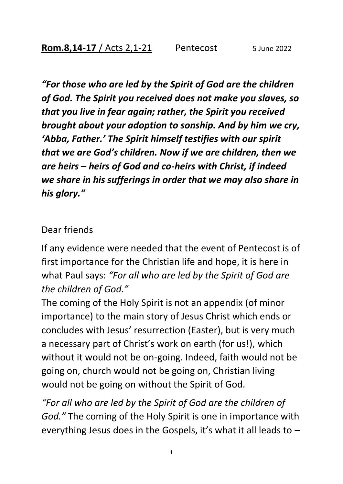*"For those who are led by the Spirit of God are the children of God. The Spirit you received does not make you slaves, so that you live in fear again; rather, the Spirit you received brought about your adoption to sonship. And by him we cry, 'Abba, Father.' The Spirit himself testifies with our spirit that we are God's children. Now if we are children, then we are heirs – heirs of God and co-heirs with Christ, if indeed we share in his sufferings in order that we may also share in his glory."* 

## Dear friends

If any evidence were needed that the event of Pentecost is of first importance for the Christian life and hope, it is here in what Paul says: *"For all who are led by the Spirit of God are the children of God."*

The coming of the Holy Spirit is not an appendix (of minor importance) to the main story of Jesus Christ which ends or concludes with Jesus' resurrection (Easter), but is very much a necessary part of Christ's work on earth (for us!), which without it would not be on-going. Indeed, faith would not be going on, church would not be going on, Christian living would not be going on without the Spirit of God.

*"For all who are led by the Spirit of God are the children of God."* The coming of the Holy Spirit is one in importance with everything Jesus does in the Gospels, it's what it all leads to  $-$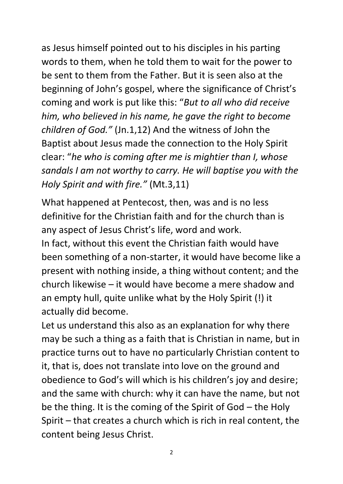as Jesus himself pointed out to his disciples in his parting words to them, when he told them to wait for the power to be sent to them from the Father. But it is seen also at the beginning of John's gospel, where the significance of Christ's coming and work is put like this: "*But to all who did receive him, who believed in his name, he gave the right to become children of God."* (Jn.1,12) And the witness of John the Baptist about Jesus made the connection to the Holy Spirit clear: "*he who is coming after me is mightier than I, whose sandals I am not worthy to carry. He will baptise you with the Holy Spirit and with fire."* (Mt.3,11)

What happened at Pentecost, then, was and is no less definitive for the Christian faith and for the church than is any aspect of Jesus Christ's life, word and work. In fact, without this event the Christian faith would have been something of a non-starter, it would have become like a present with nothing inside, a thing without content; and the church likewise – it would have become a mere shadow and an empty hull, quite unlike what by the Holy Spirit (!) it actually did become.

Let us understand this also as an explanation for why there may be such a thing as a faith that is Christian in name, but in practice turns out to have no particularly Christian content to it, that is, does not translate into love on the ground and obedience to God's will which is his children's joy and desire; and the same with church: why it can have the name, but not be the thing. It is the coming of the Spirit of God – the Holy Spirit – that creates a church which is rich in real content, the content being Jesus Christ.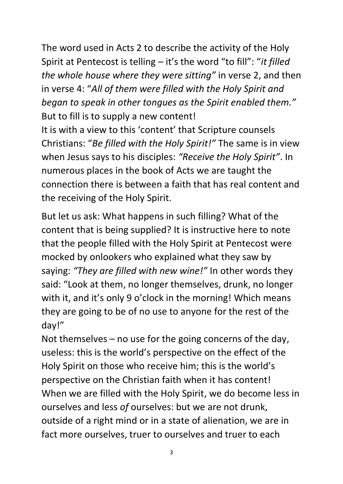The word used in Acts 2 to describe the activity of the Holy Spirit at Pentecost is telling – it's the word "to fill": "*it filled the whole house where they were sitting"* in verse 2, and then in verse 4: "*All of them were filled with the Holy Spirit and began to speak in other tongues as the Spirit enabled them."*  But to fill is to supply a new content!

It is with a view to this 'content' that Scripture counsels Christians: "*Be filled with the Holy Spirit!"* The same is in view when Jesus says to his disciples: *"Receive the Holy Spirit"*. In numerous places in the book of Acts we are taught the connection there is between a faith that has real content and the receiving of the Holy Spirit.

But let us ask: What happens in such filling? What of the content that is being supplied? It is instructive here to note that the people filled with the Holy Spirit at Pentecost were mocked by onlookers who explained what they saw by saying: *"They are filled with new wine!"* In other words they said: "Look at them, no longer themselves, drunk, no longer with it, and it's only 9 o'clock in the morning! Which means they are going to be of no use to anyone for the rest of the day!"

Not themselves – no use for the going concerns of the day, useless: this is the world's perspective on the effect of the Holy Spirit on those who receive him; this is the world's perspective on the Christian faith when it has content! When we are filled with the Holy Spirit, we do become less in ourselves and less *of* ourselves: but we are not drunk, outside of a right mind or in a state of alienation, we are in fact more ourselves, truer to ourselves and truer to each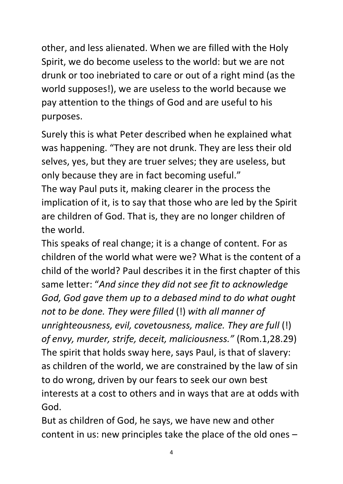other, and less alienated. When we are filled with the Holy Spirit, we do become useless to the world: but we are not drunk or too inebriated to care or out of a right mind (as the world supposes!), we are useless to the world because we pay attention to the things of God and are useful to his purposes.

Surely this is what Peter described when he explained what was happening. "They are not drunk. They are less their old selves, yes, but they are truer selves; they are useless, but only because they are in fact becoming useful."

The way Paul puts it, making clearer in the process the implication of it, is to say that those who are led by the Spirit are children of God. That is, they are no longer children of the world.

This speaks of real change; it is a change of content. For as children of the world what were we? What is the content of a child of the world? Paul describes it in the first chapter of this same letter: "*And since they did not see fit to acknowledge God, God gave them up to a debased mind to do what ought not to be done. They were filled* (!) *with all manner of unrighteousness, evil, covetousness, malice. They are full* (!) *of envy, murder, strife, deceit, maliciousness."* (Rom.1,28.29) The spirit that holds sway here, says Paul, is that of slavery: as children of the world, we are constrained by the law of sin to do wrong, driven by our fears to seek our own best interests at a cost to others and in ways that are at odds with God.

But as children of God, he says, we have new and other content in us: new principles take the place of the old ones –